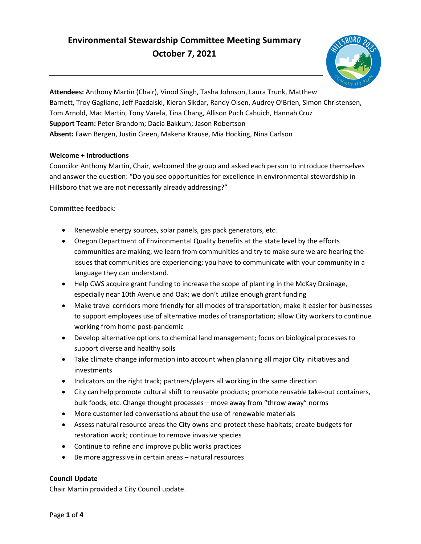# **Environmental Stewardship Committee Meeting Summary October 7, 2021**



**Attendees:** Anthony Martin (Chair), Vinod Singh, Tasha Johnson, Laura Trunk, Matthew Barnett, Troy Gagliano, Jeff Pazdalski, Kieran Sikdar, Randy Olsen, Audrey O'Brien, Simon Christensen, Tom Arnold, Mac Martin, Tony Varela, Tina Chang, Allison Puch Cahuich, Hannah Cruz **Support Team:** Peter Brandom; Dacia Bakkum; Jason Robertson **Absent:** Fawn Bergen, Justin Green, Makena Krause, Mia Hocking, Nina Carlson

# **Welcome + Introductions**

 Councilor Anthony Martin, Chair, welcomed the group and asked each person to introduce themselves Hillsboro that we are not necessarily already addressing?" and answer the question: "Do you see opportunities for excellence in environmental stewardship in

Committee feedback:

- Renewable energy sources, solar panels, gas pack generators, etc.
- communities are making; we learn from communities and try to make sure we are hearing the issues that communities are experiencing; you have to communicate with your community in a • Oregon Department of Environmental Quality benefits at the state level by the efforts language they can understand.
- • Help CWS acquire grant funding to increase the scope of planting in the McKay Drainage, especially near 10th Avenue and Oak; we don't utilize enough grant funding
- Make travel corridors more friendly for all modes of transportation; make it easier for businesses to support employees use of alternative modes of transportation; allow City workers to continue working from home post-pandemic
- Develop alternative options to chemical land management; focus on biological processes to support diverse and healthy soils
- • Take climate change information into account when planning all major City initiatives and investments
- Indicators on the right track; partners/players all working in the same direction
- City can help promote cultural shift to reusable products; promote reusable take-out containers, bulk foods, etc. Change thought processes – move away from "throw away" norms
- More customer led conversations about the use of renewable materials
- Assess natural resource areas the City owns and protect these habitats; create budgets for restoration work; continue to remove invasive species
- Continue to refine and improve public works practices
- Be more aggressive in certain areas natural resources

## **Council Update**

Chair Martin provided a City Council update.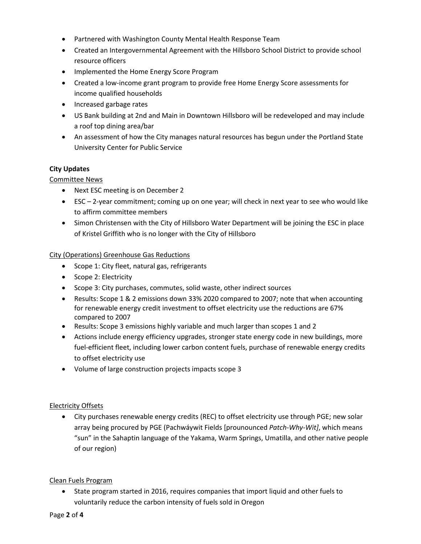- Partnered with Washington County Mental Health Response Team
- Created an Intergovernmental Agreement with the Hillsboro School District to provide school resource officers
- Implemented the Home Energy Score Program
- Created a low-income grant program to provide free Home Energy Score assessments for income qualified households
- Increased garbage rates
- US Bank building at 2nd and Main in Downtown Hillsboro will be redeveloped and may include a roof top dining area/bar
- • An assessment of how the City manages natural resources has begun under the Portland State University Center for Public Service

# **City Updates**

# Committee News

- Next ESC meeting is on December 2
- • ESC 2-year commitment; coming up on one year; will check in next year to see who would like to affirm committee members
- Simon Christensen with the City of Hillsboro Water Department will be joining the ESC in place of Kristel Griffith who is no longer with the City of Hillsboro

## City (Operations) Greenhouse Gas Reductions

- Scope 1: City fleet, natural gas, refrigerants
- Scope 2: Electricity
- Scope 3: City purchases, commutes, solid waste, other indirect sources
- • Results: Scope 1 & 2 emissions down 33% 2020 compared to 2007; note that when accounting for renewable energy credit investment to offset electricity use the reductions are 67% compared to 2007
- Results: Scope 3 emissions highly variable and much larger than scopes 1 and 2
- fuel-efficient fleet, including lower carbon content fuels, purchase of renewable energy credits • Actions include energy efficiency upgrades, stronger state energy code in new buildings, more to offset electricity use
- Volume of large construction projects impacts scope 3

## Electricity Offsets

 array being procured by PGE (Pachwáywit Fields [prounounced *Patch-Why-Wit]*, which means "sun" in the Sahaptin language of the Yakama, Warm Springs, Umatilla, and other native people • City purchases renewable energy credits (REC) to offset electricity use through PGE; new solar of our region)

## Clean Fuels Program

 • State program started in 2016, requires companies that import liquid and other fuels to voluntarily reduce the carbon intensity of fuels sold in Oregon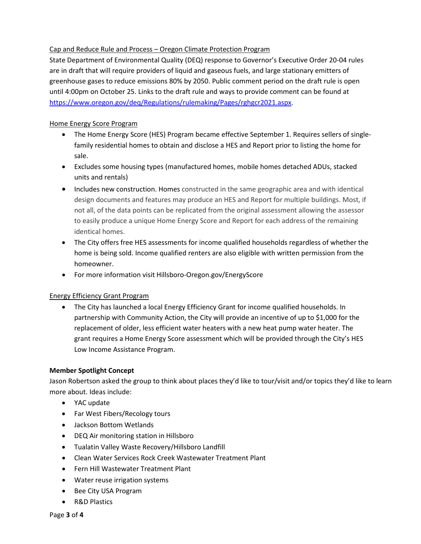# Cap and Reduce Rule and Process – Oregon Climate Protection Program

 State Department of Environmental Quality (DEQ) response to Governor's Executive Order 20-04 rules are in draft that will require providers of liquid and gaseous fuels, and large stationary emitters of greenhouse gases to reduce emissions 80% by 2050. Public comment period on the draft rule is open until 4:00pm on October 25. Links to the draft rule and ways to provide comment can be found at [https://www.oregon.gov/deq/Regulations/rulemaking/Pages/rghgcr2021.aspx.](https://www.oregon.gov/deq/Regulations/rulemaking/Pages/rghgcr2021.aspx)

# Home Energy Score Program

- • The Home Energy Score (HES) Program became effective September 1. Requires sellers of singlefamily residential homes to obtain and disclose a HES and Report prior to listing the home for sale.
- units and rentals) • Excludes some housing types (manufactured homes, mobile homes detached ADUs, stacked
- design documents and features may produce an HES and Report for multiple buildings. Most, if • Includes new construction. Homes constructed in the same geographic area and with identical not all, of the data points can be replicated from the original assessment allowing the assessor to easily produce a unique Home Energy Score and Report for each address of the remaining identical homes.
- • The City offers free HES assessments for income qualified households regardless of whether the home is being sold. Income qualified renters are also eligible with written permission from the homeowner.
- For more information visit [Hillsboro-Oregon.gov/EnergyScore](https://Hillsboro-Oregon.gov/EnergyScore)

## Energy Efficiency Grant Program

 partnership with Community Action, the City will provide an incentive of up to \$1,000 for the replacement of older, less efficient water heaters with a new heat pump water heater. The • The City has launched a local Energy Efficiency Grant for income qualified households. In grant requires a Home Energy Score assessment which will be provided through the City's HES Low Income Assistance Program.

# **Member Spotlight Concept**

Jason Robertson asked the group to think about places they'd like to tour/visit and/or topics they'd like to learn more about. Ideas include:

- YAC update
- Far West Fibers/Recology tours
- Jackson Bottom Wetlands
- DEQ Air monitoring station in Hillsboro
- Tualatin Valley Waste Recovery/Hillsboro Landfill
- Clean Water Services Rock Creek Wastewater Treatment Plant
- Fern Hill Wastewater Treatment Plant
- Water reuse irrigation systems
- Bee City USA Program
- R&D Plastics